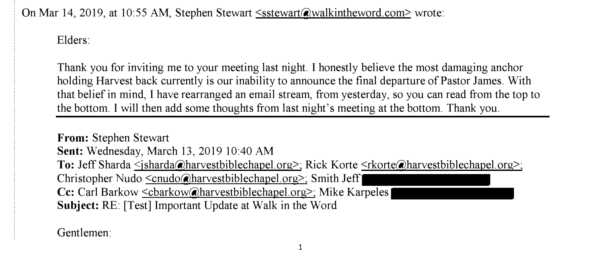On Mar 14, 2019, at 10:55 AM, Stephen Stewart <sstewart@walkintheword.com> wrote:

Elders:

Thank you for inviting me to your meeting last night. I honestly believe the most damaging anchor holding Harvest back currently is our inability to announce the final departure of Pastor James. With that belief in mind, I have rearranged an email stream, from yesterday, so you can read from the top to the bottom. I will then add some thoughts from last night's meeting at the bottom. Thank you.

**From:** Stephen Stewart **Sent:** Wednesday, March 13, 2019 10:40 AM To: Jeff Sharda <*jsharda*@harvestbiblechapel.org>; Rick Korte <*rkorte*@harvestbiblechapel.org>; Christopher Nudo <cnudo@harvestbiblechapel.org>; Smith Jeff **Cc:** Carl Barkow <cbarkow@harvestbiblechapel.org>; Mike Karpeles **Subject:** RE: [Test] Important Update at Walk in the Word

Gentlemen: